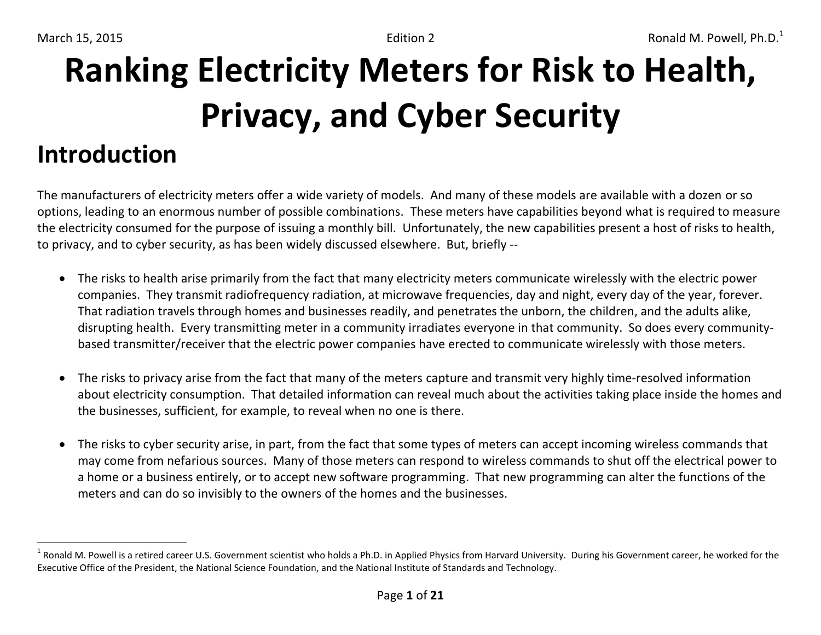$\overline{a}$ 

# **Ranking Electricity Meters for Risk to Health, Privacy, and Cyber Security**

### **Introduction**

The manufacturers of electricity meters offer a wide variety of models. And many of these models are available with a dozen or so options, leading to an enormous number of possible combinations. These meters have capabilities beyond what is required to measure the electricity consumed for the purpose of issuing a monthly bill. Unfortunately, the new capabilities present a host of risks to health, to privacy, and to cyber security, as has been widely discussed elsewhere. But, briefly --

- The risks to health arise primarily from the fact that many electricity meters communicate wirelessly with the electric power companies. They transmit radiofrequency radiation, at microwave frequencies, day and night, every day of the year, forever. That radiation travels through homes and businesses readily, and penetrates the unborn, the children, and the adults alike, disrupting health. Every transmitting meter in a community irradiates everyone in that community. So does every communitybased transmitter/receiver that the electric power companies have erected to communicate wirelessly with those meters.
- The risks to privacy arise from the fact that many of the meters capture and transmit very highly time-resolved information about electricity consumption. That detailed information can reveal much about the activities taking place inside the homes and the businesses, sufficient, for example, to reveal when no one is there.
- The risks to cyber security arise, in part, from the fact that some types of meters can accept incoming wireless commands that may come from nefarious sources. Many of those meters can respond to wireless commands to shut off the electrical power to a home or a business entirely, or to accept new software programming. That new programming can alter the functions of the meters and can do so invisibly to the owners of the homes and the businesses.

 $^1$  Ronald M. Powell is a retired career U.S. Government scientist who holds a Ph.D. in Applied Physics from Harvard University. During his Government career, he worked for the Executive Office of the President, the National Science Foundation, and the National Institute of Standards and Technology.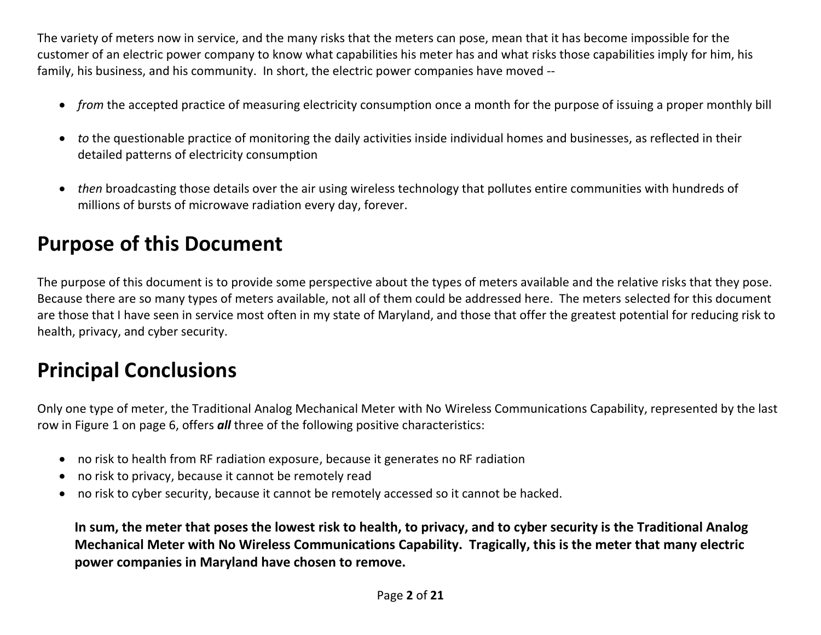The variety of meters now in service, and the many risks that the meters can pose, mean that it has become impossible for the customer of an electric power company to know what capabilities his meter has and what risks those capabilities imply for him, his family, his business, and his community. In short, the electric power companies have moved --

- *from* the accepted practice of measuring electricity consumption once a month for the purpose of issuing a proper monthly bill
- *to* the questionable practice of monitoring the daily activities inside individual homes and businesses, as reflected in their detailed patterns of electricity consumption
- *then* broadcasting those details over the air using wireless technology that pollutes entire communities with hundreds of millions of bursts of microwave radiation every day, forever.

### **Purpose of this Document**

The purpose of this document is to provide some perspective about the types of meters available and the relative risks that they pose. Because there are so many types of meters available, not all of them could be addressed here. The meters selected for this document are those that I have seen in service most often in my state of Maryland, and those that offer the greatest potential for reducing risk to health, privacy, and cyber security.

### **Principal Conclusions**

Only one type of meter, the Traditional Analog Mechanical Meter with No Wireless Communications Capability, represented by the last row in [Figure 1](#page-5-0) on page [6,](#page-5-0) offers *all* three of the following positive characteristics:

- no risk to health from RF radiation exposure, because it generates no RF radiation
- no risk to privacy, because it cannot be remotely read
- no risk to cyber security, because it cannot be remotely accessed so it cannot be hacked.

**In sum, the meter that poses the lowest risk to health, to privacy, and to cyber security is the Traditional Analog Mechanical Meter with No Wireless Communications Capability. Tragically, this is the meter that many electric power companies in Maryland have chosen to remove.**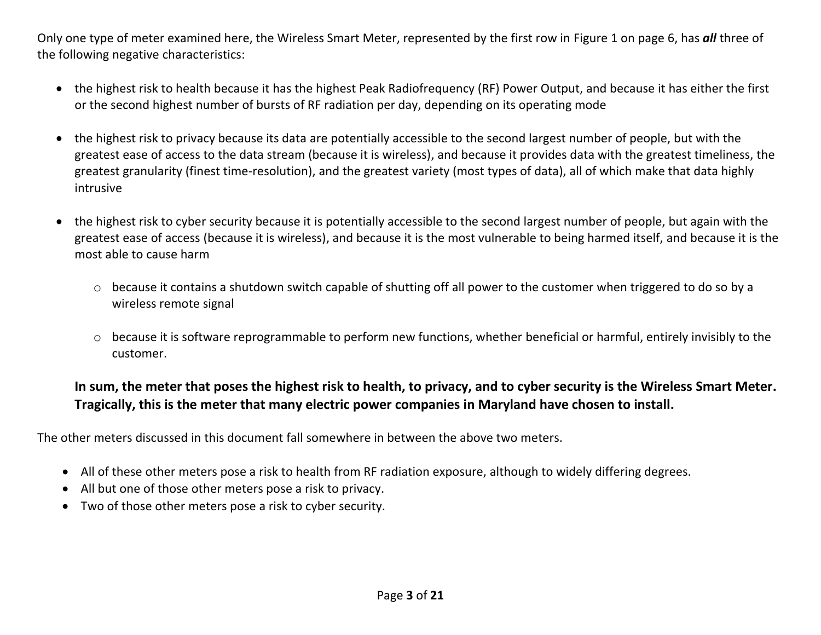Only one type of meter examined here, the Wireless Smart Meter, represented by the first row in [Figure 1](#page-5-0) on page [6,](#page-5-0) has *all* three of the following negative characteristics:

- the highest risk to health because it has the highest Peak Radiofrequency (RF) Power Output, and because it has either the first or the second highest number of bursts of RF radiation per day, depending on its operating mode
- the highest risk to privacy because its data are potentially accessible to the second largest number of people, but with the greatest ease of access to the data stream (because it is wireless), and because it provides data with the greatest timeliness, the greatest granularity (finest time-resolution), and the greatest variety (most types of data), all of which make that data highly intrusive
- the highest risk to cyber security because it is potentially accessible to the second largest number of people, but again with the greatest ease of access (because it is wireless), and because it is the most vulnerable to being harmed itself, and because it is the most able to cause harm
	- o because it contains a shutdown switch capable of shutting off all power to the customer when triggered to do so by a wireless remote signal
	- o because it is software reprogrammable to perform new functions, whether beneficial or harmful, entirely invisibly to the customer.

#### **In sum, the meter that poses the highest risk to health, to privacy, and to cyber security is the Wireless Smart Meter. Tragically, this is the meter that many electric power companies in Maryland have chosen to install.**

The other meters discussed in this document fall somewhere in between the above two meters.

- All of these other meters pose a risk to health from RF radiation exposure, although to widely differing degrees.
- All but one of those other meters pose a risk to privacy.
- Two of those other meters pose a risk to cyber security.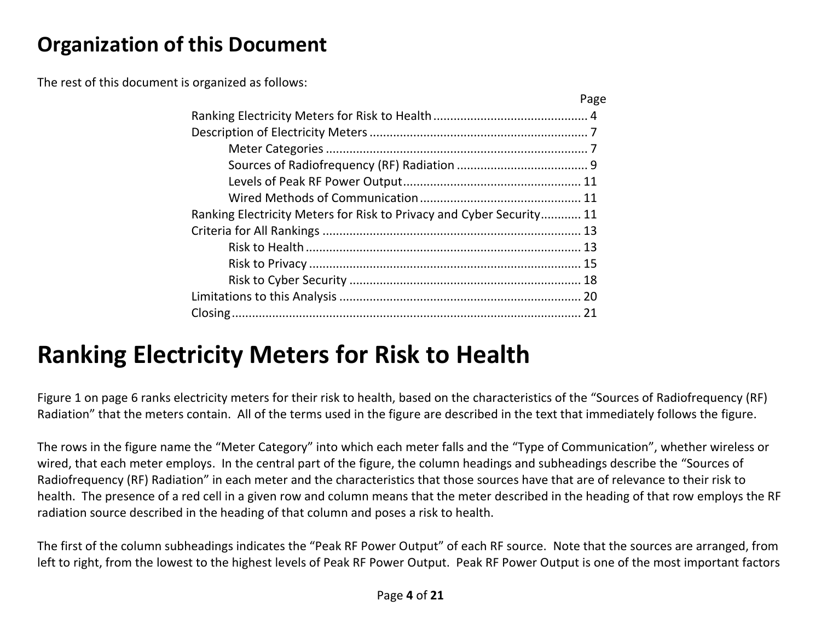### **Organization of this Document**

The rest of this document is organized as follows:

|                                                                      | Page |
|----------------------------------------------------------------------|------|
|                                                                      |      |
|                                                                      |      |
|                                                                      |      |
|                                                                      |      |
|                                                                      |      |
|                                                                      |      |
| Ranking Electricity Meters for Risk to Privacy and Cyber Security 11 |      |
|                                                                      |      |
|                                                                      |      |
|                                                                      |      |
|                                                                      |      |
|                                                                      |      |
|                                                                      |      |

# <span id="page-3-0"></span>**Ranking Electricity Meters for Risk to Health**

[Figure 1](#page-5-0) on page [6](#page-5-0) ranks electricity meters for their risk to health, based on the characteristics of the "Sources of Radiofrequency (RF) Radiation" that the meters contain. All of the terms used in the figure are described in the text that immediately follows the figure.

The rows in the figure name the "Meter Category" into which each meter falls and the "Type of Communication", whether wireless or wired, that each meter employs. In the central part of the figure, the column headings and subheadings describe the "Sources of Radiofrequency (RF) Radiation" in each meter and the characteristics that those sources have that are of relevance to their risk to health. The presence of a red cell in a given row and column means that the meter described in the heading of that row employs the RF radiation source described in the heading of that column and poses a risk to health.

The first of the column subheadings indicates the "Peak RF Power Output" of each RF source. Note that the sources are arranged, from left to right, from the lowest to the highest levels of Peak RF Power Output. Peak RF Power Output is one of the most important factors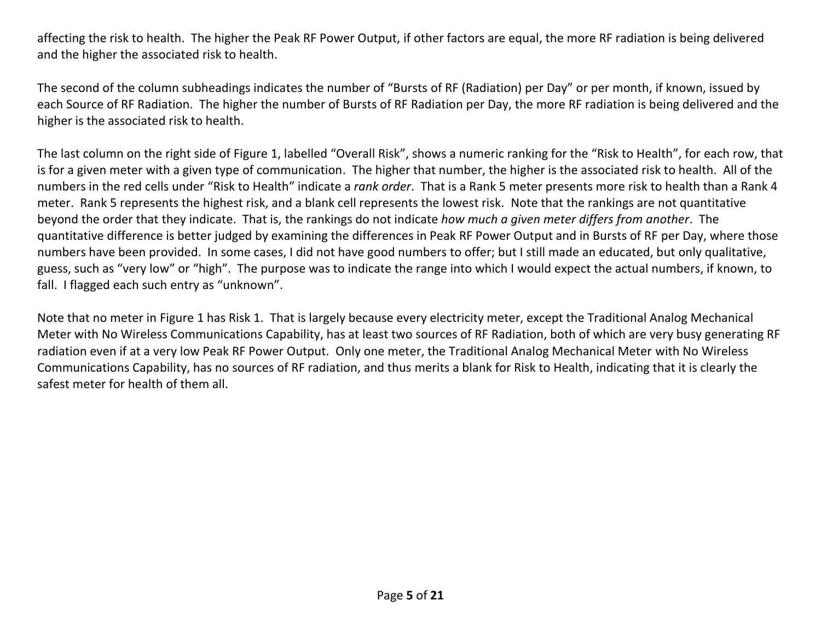affecting the risk to health. The higher the Peak RF Power Output, if other factors are equal, the more RF radiation is being delivered and the higher the associated risk to health.

The second of the column subheadings indicates the number of "Bursts of RF (Radiation) per Day" or per month, if known, issued by each Source of RF Radiation. The higher the number of Bursts of RF Radiation per Day, the more RF radiation is being delivered and the higher is the associated risk to health.

The last column on the right side of [Figure 1](#page-5-0), labelled "Overall Risk", shows a numeric ranking for the "Risk to Health", for each row, that is for a given meter with a given type of communication. The higher that number, the higher is the associated risk to health. All of the numbers in the red cells under "Risk to Health" indicate a *rank order*. That is a Rank 5 meter presents more risk to health than a Rank 4 meter. Rank 5 represents the highest risk, and a blank cell represents the lowest risk. Note that the rankings are not quantitative beyond the order that they indicate. That is, the rankings do not indicate *how much a given meter differs from another*. The quantitative difference is better judged by examining the differences in Peak RF Power Output and in Bursts of RF per Day, where those numbers have been provided. In some cases, I did not have good numbers to offer; but I still made an educated, but only qualitative, guess, such as "very low" or "high". The purpose was to indicate the range into which I would expect the actual numbers, if known, to fall. I flagged each such entry as "unknown".

Note that no meter in [Figure 1](#page-5-0) has Risk 1. That is largely because every electricity meter, except the Traditional Analog Mechanical Meter with No Wireless Communications Capability, has at least two sources of RF Radiation, both of which are very busy generating RF radiation even if at a very low Peak RF Power Output. Only one meter, the Traditional Analog Mechanical Meter with No Wireless Communications Capability, has no sources of RF radiation, and thus merits a blank for Risk to Health, indicating that it is clearly the safest meter for health of them all.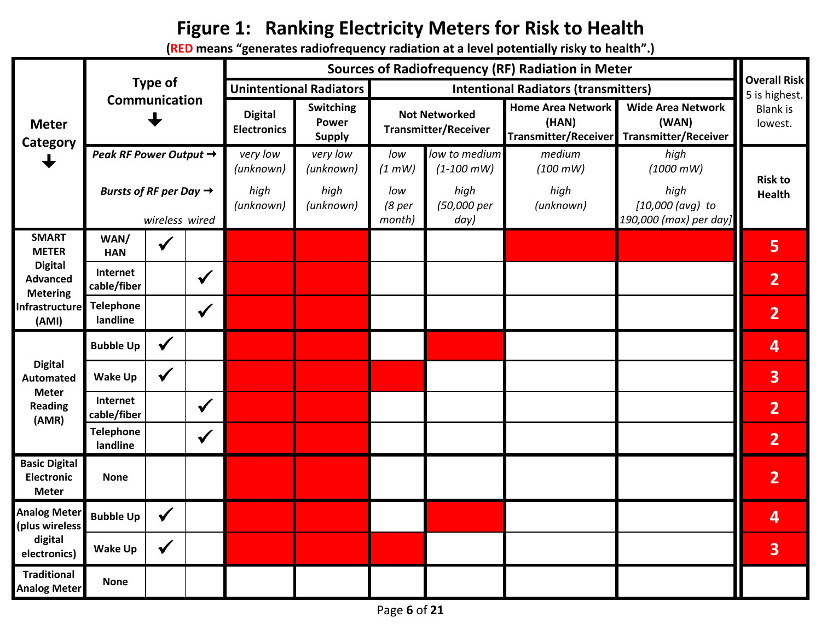### **Figure 1: Ranking Electricity Meters for Risk to Health**

**(RED means "generates radiofrequency radiation at a level potentially risky to health".)**

<span id="page-5-0"></span>

|                                                           |                                                                                            |              | <b>Sources of Radiofrequency (RF) Radiation in Meter</b> |                                            |                                                   |                                                       |                                                                          |                                                     |                                                                                       |                                 |
|-----------------------------------------------------------|--------------------------------------------------------------------------------------------|--------------|----------------------------------------------------------|--------------------------------------------|---------------------------------------------------|-------------------------------------------------------|--------------------------------------------------------------------------|-----------------------------------------------------|---------------------------------------------------------------------------------------|---------------------------------|
| <b>Meter</b><br>Category                                  | <b>Type of</b>                                                                             |              | <b>Unintentional Radiators</b>                           |                                            |                                                   | <b>Overall Risk</b><br>5 is highest.                  |                                                                          |                                                     |                                                                                       |                                 |
|                                                           | Communication                                                                              |              |                                                          | <b>Digital</b><br><b>Electronics</b>       | <b>Switching</b><br><b>Power</b><br><b>Supply</b> | <b>Not Networked</b><br><b>Transmitter/Receiver</b>   |                                                                          | <b>Home Area Network</b><br>(HAN)                   | <b>Wide Area Network</b><br>(WAN)<br>Transmitter/Receiver Transmitter/Receiver        | <b>Blank</b> is<br>lowest.      |
|                                                           | Peak RF Power Output $\rightarrow$<br>Bursts of RF per Day $\rightarrow$<br>wireless wired |              |                                                          | very low<br>(unknown)<br>high<br>(unknown) | very low<br>(unknown)<br>high<br>(unknown)        | low<br>(1 mW)<br>low<br>(8 <sub>per</sub> )<br>month) | low to medium<br>$(1 - 100 \, \text{mW})$<br>high<br>(50,000 per<br>day) | medium<br>$(100 \, \text{mW})$<br>high<br>(unknown) | high<br>$(1000 \, \text{mW})$<br>high<br>$[10,000$ (avg) to<br>190,000 (max) per day] | <b>Risk to</b><br><b>Health</b> |
| <b>SMART</b><br><b>METER</b>                              | WAN/<br><b>HAN</b>                                                                         | $\checkmark$ |                                                          |                                            |                                                   |                                                       |                                                                          |                                                     |                                                                                       | 5                               |
| <b>Digital</b><br><b>Advanced</b><br><b>Metering</b>      | Internet<br>cable/fiber                                                                    |              | $\checkmark$                                             |                                            |                                                   |                                                       |                                                                          |                                                     |                                                                                       | $\overline{2}$                  |
| <b>Infrastructure</b><br>(AMI)                            | <b>Telephone</b><br>landline                                                               |              | $\checkmark$                                             |                                            |                                                   |                                                       |                                                                          |                                                     |                                                                                       | $\overline{2}$                  |
|                                                           | <b>Bubble Up</b>                                                                           | $\checkmark$ |                                                          |                                            |                                                   |                                                       |                                                                          |                                                     |                                                                                       | $\overline{4}$                  |
| <b>Digital</b><br>Automated<br><b>Meter</b>               | <b>Wake Up</b>                                                                             | $\checkmark$ |                                                          |                                            |                                                   |                                                       |                                                                          |                                                     |                                                                                       | $\overline{3}$                  |
| <b>Reading</b><br>(AMR)                                   | Internet<br>cable/fiber                                                                    |              | $\checkmark$                                             |                                            |                                                   |                                                       |                                                                          |                                                     |                                                                                       | $\overline{2}$                  |
|                                                           | <b>Telephone</b><br>landline                                                               |              | $\checkmark$                                             |                                            |                                                   |                                                       |                                                                          |                                                     |                                                                                       | $\overline{2}$                  |
| <b>Basic Digital</b><br><b>Electronic</b><br><b>Meter</b> | <b>None</b>                                                                                |              |                                                          |                                            |                                                   |                                                       |                                                                          |                                                     |                                                                                       | $\overline{2}$                  |
| <b>Analog Meter</b><br>(plus wireless                     | <b>Bubble Up</b>                                                                           | $\checkmark$ |                                                          |                                            |                                                   |                                                       |                                                                          |                                                     |                                                                                       | $\overline{\mathbf{4}}$         |
| digital<br>electronics)                                   | <b>Wake Up</b>                                                                             | $\checkmark$ |                                                          |                                            |                                                   |                                                       |                                                                          |                                                     |                                                                                       | 3                               |
| <b>Traditional</b><br><b>Analog Meter</b>                 | <b>None</b>                                                                                |              |                                                          |                                            |                                                   |                                                       |                                                                          |                                                     |                                                                                       |                                 |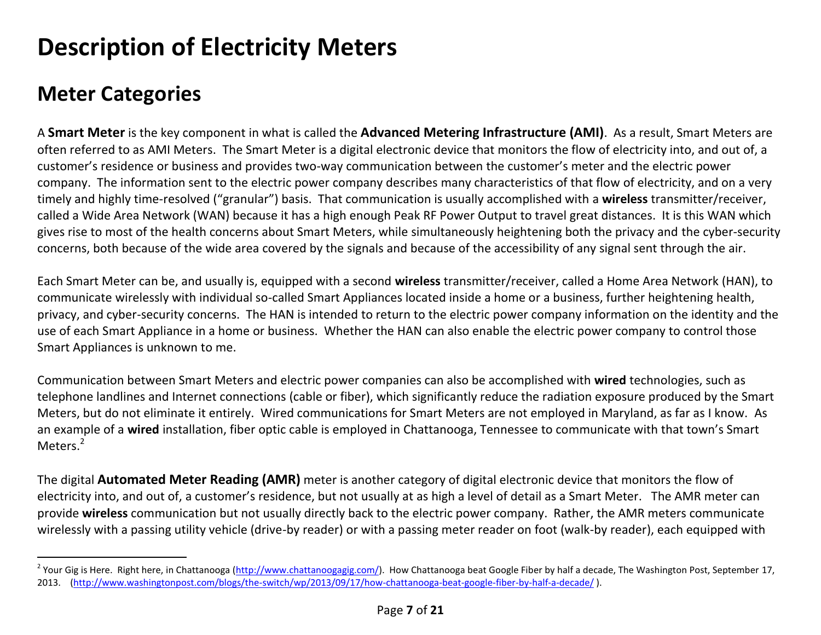# <span id="page-6-0"></span>**Description of Electricity Meters**

### <span id="page-6-1"></span>**Meter Categories**

l

A **Smart Meter** is the key component in what is called the **Advanced Metering Infrastructure (AMI)**. As a result, Smart Meters are often referred to as AMI Meters. The Smart Meter is a digital electronic device that monitors the flow of electricity into, and out of, a customer's residence or business and provides two-way communication between the customer's meter and the electric power company. The information sent to the electric power company describes many characteristics of that flow of electricity, and on a very timely and highly time-resolved ("granular") basis. That communication is usually accomplished with a **wireless** transmitter/receiver, called a Wide Area Network (WAN) because it has a high enough Peak RF Power Output to travel great distances. It is this WAN which gives rise to most of the health concerns about Smart Meters, while simultaneously heightening both the privacy and the cyber-security concerns, both because of the wide area covered by the signals and because of the accessibility of any signal sent through the air.

Each Smart Meter can be, and usually is, equipped with a second **wireless** transmitter/receiver, called a Home Area Network (HAN), to communicate wirelessly with individual so-called Smart Appliances located inside a home or a business, further heightening health, privacy, and cyber-security concerns. The HAN is intended to return to the electric power company information on the identity and the use of each Smart Appliance in a home or business. Whether the HAN can also enable the electric power company to control those Smart Appliances is unknown to me.

Communication between Smart Meters and electric power companies can also be accomplished with **wired** technologies, such as telephone landlines and Internet connections (cable or fiber), which significantly reduce the radiation exposure produced by the Smart Meters, but do not eliminate it entirely. Wired communications for Smart Meters are not employed in Maryland, as far as I know. As an example of a **wired** installation, fiber optic cable is employed in Chattanooga, Tennessee to communicate with that town's Smart Meters.<sup>2</sup>

The digital **Automated Meter Reading (AMR)** meter is another category of digital electronic device that monitors the flow of electricity into, and out of, a customer's residence, but not usually at as high a level of detail as a Smart Meter. The AMR meter can provide **wireless** communication but not usually directly back to the electric power company. Rather, the AMR meters communicate wirelessly with a passing utility vehicle (drive-by reader) or with a passing meter reader on foot (walk-by reader), each equipped with

<sup>&</sup>lt;sup>2</sup> Your Gig is Here. Right here, in Chattanooga [\(http://www.chattanoogagig.com/\)](http://www.chattanoogagig.com/). How Chattanooga beat Google Fiber by half a decade, The Washington Post, September 17, 2013. [\(http://www.washingtonpost.com/blogs/the-switch/wp/2013/09/17/how-chattanooga-beat-google-fiber-by-half-a-decade/](http://www.washingtonpost.com/blogs/the-switch/wp/2013/09/17/how-chattanooga-beat-google-fiber-by-half-a-decade/) ).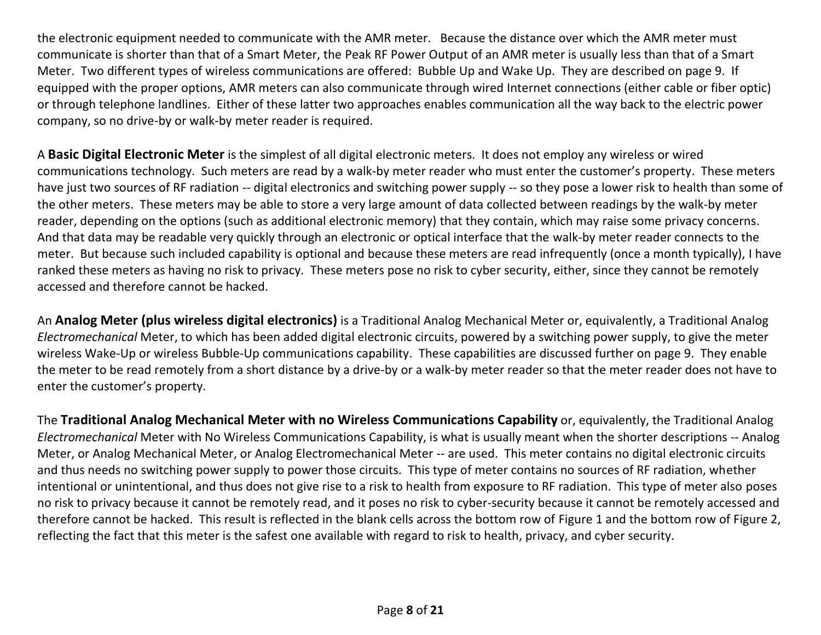the electronic equipment needed to communicate with the AMR meter. Because the distance over which the AMR meter must communicate is shorter than that of a Smart Meter, the Peak RF Power Output of an AMR meter is usually less than that of a Smart Meter. Two different types of wireless communications are offered: Bubble Up and Wake Up. They are described on page [9.](#page-8-1) If equipped with the proper options, AMR meters can also communicate through wired Internet connections (either cable or fiber optic) or through telephone landlines. Either of these latter two approaches enables communication all the way back to the electric power company, so no drive-by or walk-by meter reader is required.

A **Basic Digital Electronic Meter** is the simplest of all digital electronic meters. It does not employ any wireless or wired communications technology. Such meters are read by a walk-by meter reader who must enter the customer's property. These meters have just two sources of RF radiation -- digital electronics and switching power supply -- so they pose a lower risk to health than some of the other meters. These meters may be able to store a very large amount of data collected between readings by the walk-by meter reader, depending on the options (such as additional electronic memory) that they contain, which may raise some privacy concerns. And that data may be readable very quickly through an electronic or optical interface that the walk-by meter reader connects to the meter. But because such included capability is optional and because these meters are read infrequently (once a month typically), I have ranked these meters as having no risk to privacy. These meters pose no risk to cyber security, either, since they cannot be remotely accessed and therefore cannot be hacked.

An **Analog Meter (plus wireless digital electronics)** is a Traditional Analog Mechanical Meter or, equivalently, a Traditional Analog *Electromechanical* Meter, to which has been added digital electronic circuits, powered by a switching power supply, to give the meter wireless Wake-Up or wireless Bubble-Up communications capability. These capabilities are discussed further on page [9.](#page-8-1) They enable the meter to be read remotely from a short distance by a drive-by or a walk-by meter reader so that the meter reader does not have to enter the customer's property.

The **Traditional Analog Mechanical Meter with no Wireless Communications Capability** or, equivalently, the Traditional Analog *Electromechanical* Meter with No Wireless Communications Capability, is what is usually meant when the shorter descriptions -- Analog Meter, or Analog Mechanical Meter, or Analog Electromechanical Meter -- are used. This meter contains no digital electronic circuits and thus needs no switching power supply to power those circuits. This type of meter contains no sources of RF radiation, whether intentional or unintentional, and thus does not give rise to a risk to health from exposure to RF radiation. This type of meter also poses no risk to privacy because it cannot be remotely read, and it poses no risk to cyber-security because it cannot be remotely accessed and therefore cannot be hacked. This result is reflected in the blank cells across the bottom row of [Figure 1](#page-5-0) and the bottom row of [Figure 2,](#page-11-0) reflecting the fact that this meter is the safest one available with regard to risk to health, privacy, and cyber security.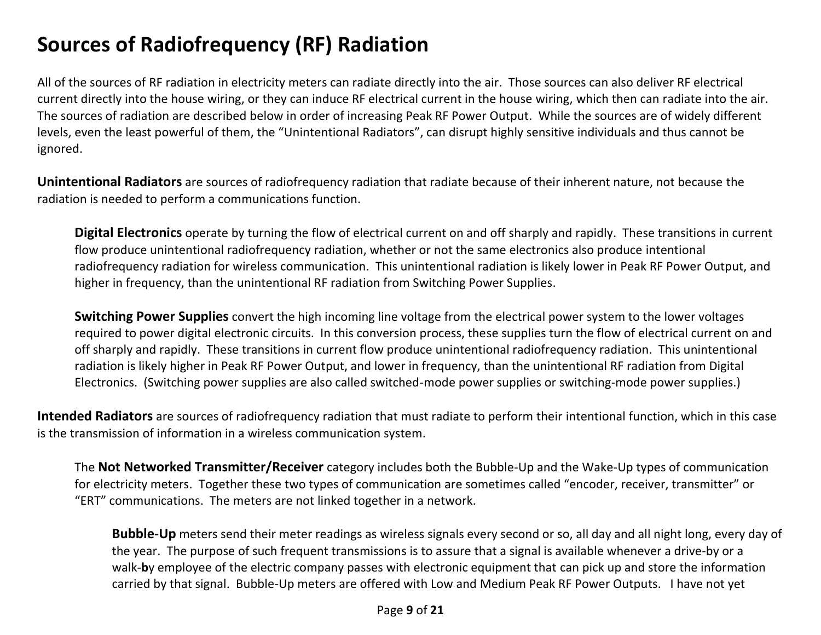### <span id="page-8-0"></span>**Sources of Radiofrequency (RF) Radiation**

All of the sources of RF radiation in electricity meters can radiate directly into the air. Those sources can also deliver RF electrical current directly into the house wiring, or they can induce RF electrical current in the house wiring, which then can radiate into the air. The sources of radiation are described below in order of increasing Peak RF Power Output. While the sources are of widely different levels, even the least powerful of them, the "Unintentional Radiators", can disrupt highly sensitive individuals and thus cannot be ignored.

**Unintentional Radiators** are sources of radiofrequency radiation that radiate because of their inherent nature, not because the radiation is needed to perform a communications function.

**Digital Electronics** operate by turning the flow of electrical current on and off sharply and rapidly. These transitions in current flow produce unintentional radiofrequency radiation, whether or not the same electronics also produce intentional radiofrequency radiation for wireless communication. This unintentional radiation is likely lower in Peak RF Power Output, and higher in frequency, than the unintentional RF radiation from Switching Power Supplies.

**Switching Power Supplies** convert the high incoming line voltage from the electrical power system to the lower voltages required to power digital electronic circuits. In this conversion process, these supplies turn the flow of electrical current on and off sharply and rapidly. These transitions in current flow produce unintentional radiofrequency radiation. This unintentional radiation is likely higher in Peak RF Power Output, and lower in frequency, than the unintentional RF radiation from Digital Electronics. (Switching power supplies are also called switched-mode power supplies or switching-mode power supplies.)

**Intended Radiators** are sources of radiofrequency radiation that must radiate to perform their intentional function, which in this case is the transmission of information in a wireless communication system.

The **Not Networked Transmitter/Receiver** category includes both the Bubble-Up and the Wake-Up types of communication for electricity meters. Together these two types of communication are sometimes called "encoder, receiver, transmitter" or "ERT" communications. The meters are not linked together in a network.

<span id="page-8-1"></span>**Bubble-Up** meters send their meter readings as wireless signals every second or so, all day and all night long, every day of the year. The purpose of such frequent transmissions is to assure that a signal is available whenever a drive-by or a walk-**b**y employee of the electric company passes with electronic equipment that can pick up and store the information carried by that signal. Bubble-Up meters are offered with Low and Medium Peak RF Power Outputs. I have not yet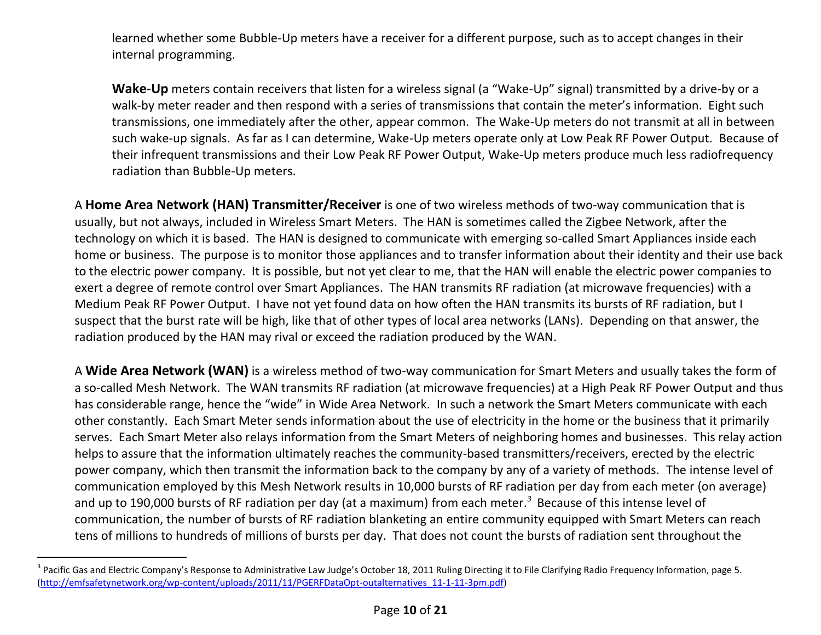learned whether some Bubble-Up meters have a receiver for a different purpose, such as to accept changes in their internal programming.

**Wake-Up** meters contain receivers that listen for a wireless signal (a "Wake-Up" signal) transmitted by a drive-by or a walk-by meter reader and then respond with a series of transmissions that contain the meter's information. Eight such transmissions, one immediately after the other, appear common. The Wake-Up meters do not transmit at all in between such wake-up signals. As far as I can determine, Wake-Up meters operate only at Low Peak RF Power Output. Because of their infrequent transmissions and their Low Peak RF Power Output, Wake-Up meters produce much less radiofrequency radiation than Bubble-Up meters.

A **Home Area Network (HAN) Transmitter/Receiver** is one of two wireless methods of two-way communication that is usually, but not always, included in Wireless Smart Meters. The HAN is sometimes called the Zigbee Network, after the technology on which it is based. The HAN is designed to communicate with emerging so-called Smart Appliances inside each home or business. The purpose is to monitor those appliances and to transfer information about their identity and their use back to the electric power company. It is possible, but not yet clear to me, that the HAN will enable the electric power companies to exert a degree of remote control over Smart Appliances. The HAN transmits RF radiation (at microwave frequencies) with a Medium Peak RF Power Output. I have not yet found data on how often the HAN transmits its bursts of RF radiation, but I suspect that the burst rate will be high, like that of other types of local area networks (LANs). Depending on that answer, the radiation produced by the HAN may rival or exceed the radiation produced by the WAN.

A **Wide Area Network (WAN)** is a wireless method of two-way communication for Smart Meters and usually takes the form of a so-called Mesh Network. The WAN transmits RF radiation (at microwave frequencies) at a High Peak RF Power Output and thus has considerable range, hence the "wide" in Wide Area Network. In such a network the Smart Meters communicate with each other constantly. Each Smart Meter sends information about the use of electricity in the home or the business that it primarily serves. Each Smart Meter also relays information from the Smart Meters of neighboring homes and businesses. This relay action helps to assure that the information ultimately reaches the community-based transmitters/receivers, erected by the electric power company, which then transmit the information back to the company by any of a variety of methods. The intense level of communication employed by this Mesh Network results in 10,000 bursts of RF radiation per day from each meter (on average) and up to 190,000 bursts of RF radiation per day (at a maximum) from each meter. *3* Because of this intense level of communication, the number of bursts of RF radiation blanketing an entire community equipped with Smart Meters can reach tens of millions to hundreds of millions of bursts per day. That does not count the bursts of radiation sent throughout the

l

<sup>&</sup>lt;sup>3</sup> Pacific Gas and Electric Company's Response to Administrative Law Judge's October 18, 2011 Ruling Directing it to File Clarifying Radio Frequency Information, page 5. [\(http://emfsafetynetwork.org/wp-content/uploads/2011/11/PGERFDataOpt-outalternatives\\_11-1-11-3pm.pdf\)](http://emfsafetynetwork.org/wp-content/uploads/2011/11/PGERFDataOpt-outalternatives_11-1-11-3pm.pdf)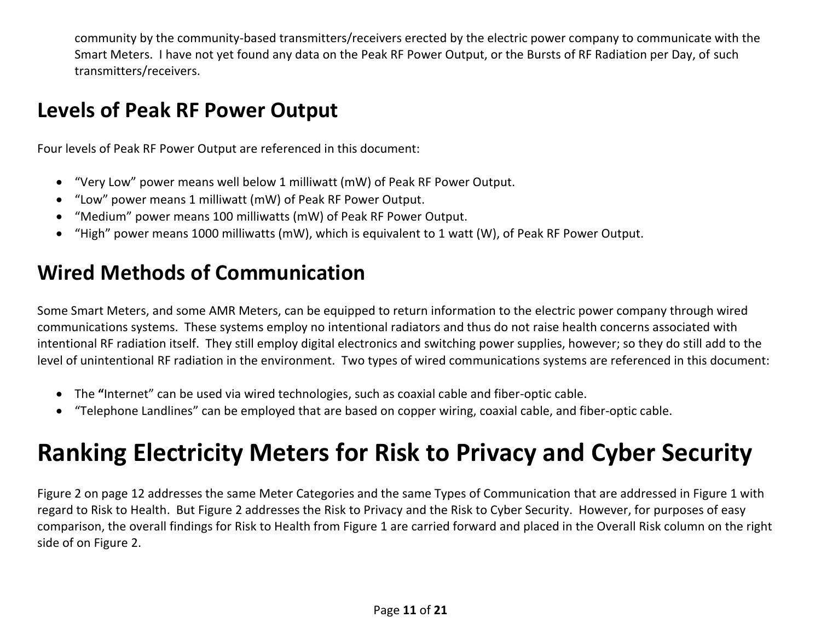community by the community-based transmitters/receivers erected by the electric power company to communicate with the Smart Meters. I have not yet found any data on the Peak RF Power Output, or the Bursts of RF Radiation per Day, of such transmitters/receivers.

### <span id="page-10-0"></span>**Levels of Peak RF Power Output**

Four levels of Peak RF Power Output are referenced in this document:

- "Very Low" power means well below 1 milliwatt (mW) of Peak RF Power Output.
- "Low" power means 1 milliwatt (mW) of Peak RF Power Output.
- "Medium" power means 100 milliwatts (mW) of Peak RF Power Output.
- "High" power means 1000 milliwatts (mW), which is equivalent to 1 watt (W), of Peak RF Power Output.

### <span id="page-10-1"></span>**Wired Methods of Communication**

Some Smart Meters, and some AMR Meters, can be equipped to return information to the electric power company through wired communications systems. These systems employ no intentional radiators and thus do not raise health concerns associated with intentional RF radiation itself. They still employ digital electronics and switching power supplies, however; so they do still add to the level of unintentional RF radiation in the environment. Two types of wired communications systems are referenced in this document:

- The **"**Internet" can be used via wired technologies, such as coaxial cable and fiber-optic cable.
- "Telephone Landlines" can be employed that are based on copper wiring, coaxial cable, and fiber-optic cable.

# <span id="page-10-2"></span>**Ranking Electricity Meters for Risk to Privacy and Cyber Security**

[Figure 2](#page-11-0) on page [12](#page-11-0) addresses the same Meter Categories and the same Types of Communication that are addressed in [Figure 1](#page-5-0) with regard to Risk to Health. But [Figure 2](#page-11-0) addresses the Risk to Privacy and the Risk to Cyber Security. However, for purposes of easy comparison, the overall findings for Risk to Health from [Figure 1](#page-5-0) are carried forward and placed in the Overall Risk column on the right side of on [Figure 2.](#page-11-0)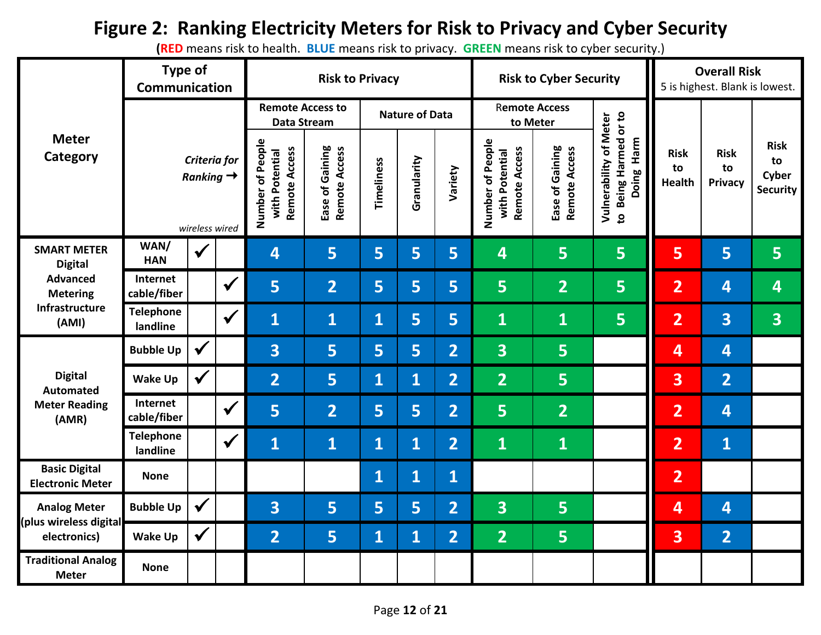### **Figure 2: Ranking Electricity Meters for Risk to Privacy and Cyber Security**

<span id="page-11-0"></span>**Type of Communication**<br>**Risk to Privacy The Risk to Cyber Security Communication Communication** 5 is highest. Blank is lowest. **Remote Access to Data Stream Nature of Data** <sup>R</sup>**emote Access to Being Harmed or to Vulnerability of Meter**<br>to Being Harmed or to **Vulnerability of Meter to Meter Meter Number of People Number of People Doing Harm** Number of People Number of People Ease of Gaining<br>Remote Access **Risk Ease of Gaining Ease of Gaining Remote Access Remote Access**  Remote Access Ease of Gaining Remote Access Remote Access with Potential **with Potential Remote Access** with Potential **with Potential Remote Access Risk Risk Category** *Criteria for* **Granularity to Timeliness Variety to to Cyber** *Ranking* **Health Privacy Security**  *wireless wired* **WAN/ SMART METER HAN 4 5 5 5 5 4 5 5 5 5 5 Digital Advanced Internet cable/fiber 5 2 5 5 5 5 2 5 2 4 4 Metering Infrastructure Telephone landline 1 1 1 5 5 1 1 5 2 3 3 (AMI) Bubble Up 3 5 5 5 2 3 5 4 4 Digital Wake Up 2 5 1 1 2 2 5 3 2 Automated Internet Meter Reading cable/fiber 5 2 5 5 2 5 2 2 4 (AMR) Telephone landline 1 1 1 1 2 1 1 2 1 Basic Digital Electronic Meter None 1 1 1 2 Bubble Up 3 5 5 5 2 3 5 4 4 Analog Meter (plus wireless digital Wake Up 2 5 1 1 2 2 5 3 2 electronics) Traditional Analog NoneMeter**

**(RED** means risk to health. **BLUE** means risk to privacy. **GREEN** means risk to cyber security.)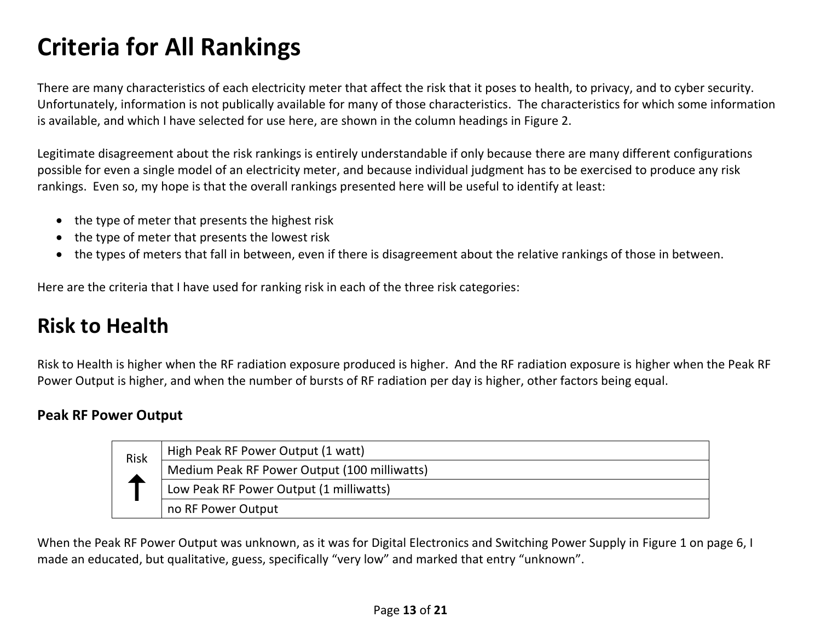# <span id="page-12-0"></span>**Criteria for All Rankings**

There are many characteristics of each electricity meter that affect the risk that it poses to health, to privacy, and to cyber security. Unfortunately, information is not publically available for many of those characteristics. The characteristics for which some information is available, and which I have selected for use here, are shown in the column headings in [Figure 2.](#page-11-0)

Legitimate disagreement about the risk rankings is entirely understandable if only because there are many different configurations possible for even a single model of an electricity meter, and because individual judgment has to be exercised to produce any risk rankings. Even so, my hope is that the overall rankings presented here will be useful to identify at least:

- the type of meter that presents the highest risk
- the type of meter that presents the lowest risk
- the types of meters that fall in between, even if there is disagreement about the relative rankings of those in between.

Here are the criteria that I have used for ranking risk in each of the three risk categories:

### <span id="page-12-1"></span>**Risk to Health**

Risk to Health is higher when the RF radiation exposure produced is higher. And the RF radiation exposure is higher when the Peak RF Power Output is higher, and when the number of bursts of RF radiation per day is higher, other factors being equal.

#### **Peak RF Power Output**

| Risk | High Peak RF Power Output (1 watt)           |
|------|----------------------------------------------|
|      | Medium Peak RF Power Output (100 milliwatts) |
|      | Low Peak RF Power Output (1 milliwatts)      |
|      | no RF Power Output                           |

When the Peak RF Power Output was unknown, as it was for Digital Electronics and Switching Power Supply in [Figure 1](#page-5-0) on page [6,](#page-5-0) I made an educated, but qualitative, guess, specifically "very low" and marked that entry "unknown".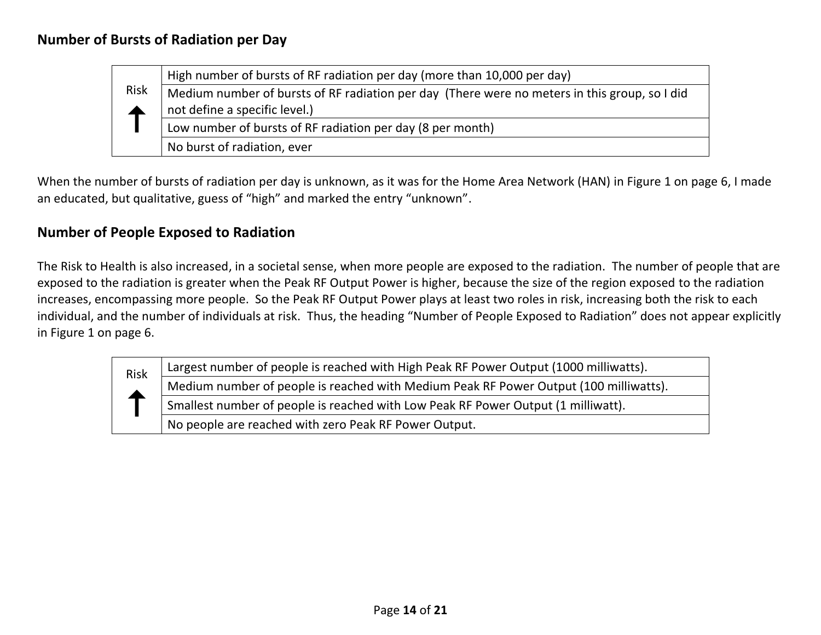#### **Number of Bursts of Radiation per Day**

|             | High number of bursts of RF radiation per day (more than 10,000 per day)                      |
|-------------|-----------------------------------------------------------------------------------------------|
| <b>Risk</b> | Medium number of bursts of RF radiation per day (There were no meters in this group, so I did |
|             | not define a specific level.)                                                                 |
|             | Low number of bursts of RF radiation per day (8 per month)                                    |
|             | No burst of radiation, ever                                                                   |

When the number of bursts of radiation per day is unknown, as it was for the Home Area Network (HAN) in [Figure 1](#page-5-0) on page [6,](#page-5-0) I made an educated, but qualitative, guess of "high" and marked the entry "unknown".

#### **Number of People Exposed to Radiation**

The Risk to Health is also increased, in a societal sense, when more people are exposed to the radiation. The number of people that are exposed to the radiation is greater when the Peak RF Output Power is higher, because the size of the region exposed to the radiation increases, encompassing more people. So the Peak RF Output Power plays at least two roles in risk, increasing both the risk to each individual, and the number of individuals at risk. Thus, the heading "Number of People Exposed to Radiation" does not appear explicitly in [Figure 1](#page-5-0) on page [6.](#page-5-0)



Largest number of people is reached with High Peak RF Power Output (1000 milliwatts). Medium number of people is reached with Medium Peak RF Power Output (100 milliwatts). Smallest number of people is reached with Low Peak RF Power Output (1 milliwatt). No people are reached with zero Peak RF Power Output.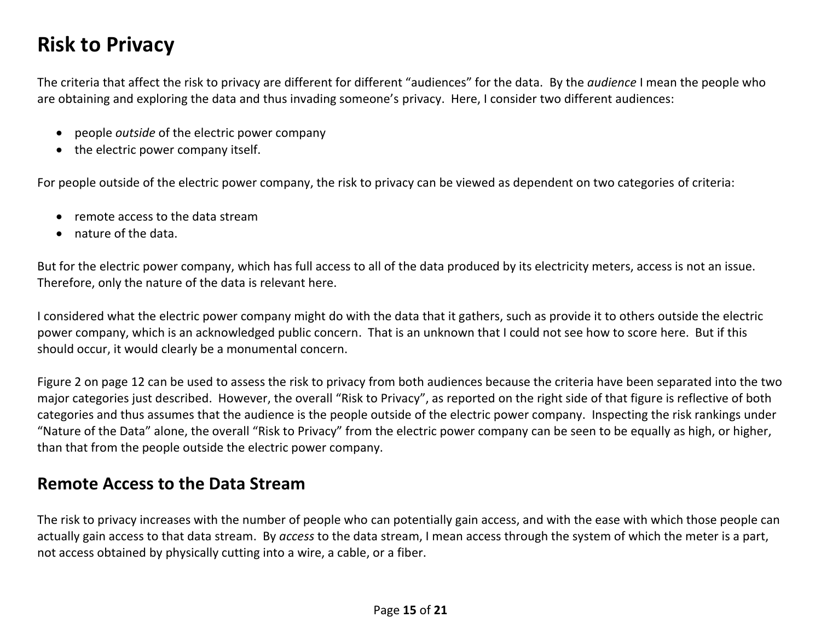### <span id="page-14-0"></span>**Risk to Privacy**

The criteria that affect the risk to privacy are different for different "audiences" for the data. By the *audience* I mean the people who are obtaining and exploring the data and thus invading someone's privacy. Here, I consider two different audiences:

- people *outside* of the electric power company
- the electric power company itself.

For people outside of the electric power company, the risk to privacy can be viewed as dependent on two categories of criteria:

- remote access to the data stream
- nature of the data.

But for the electric power company, which has full access to all of the data produced by its electricity meters, access is not an issue. Therefore, only the nature of the data is relevant here.

I considered what the electric power company might do with the data that it gathers, such as provide it to others outside the electric power company, which is an acknowledged public concern. That is an unknown that I could not see how to score here. But if this should occur, it would clearly be a monumental concern.

[Figure 2](#page-11-0) on page [12](#page-11-0) can be used to assess the risk to privacy from both audiences because the criteria have been separated into the two major categories just described. However, the overall "Risk to Privacy", as reported on the right side of that figure is reflective of both categories and thus assumes that the audience is the people outside of the electric power company. Inspecting the risk rankings under "Nature of the Data" alone, the overall "Risk to Privacy" from the electric power company can be seen to be equally as high, or higher, than that from the people outside the electric power company.

#### **Remote Access to the Data Stream**

The risk to privacy increases with the number of people who can potentially gain access, and with the ease with which those people can actually gain access to that data stream. By *access* to the data stream, I mean access through the system of which the meter is a part, not access obtained by physically cutting into a wire, a cable, or a fiber.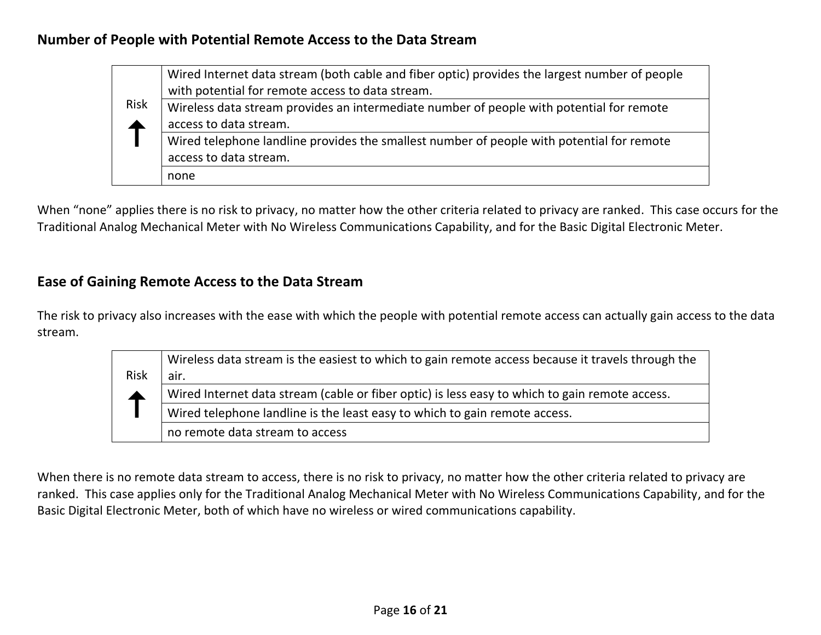#### **Number of People with Potential Remote Access to the Data Stream**

|             | Wired Internet data stream (both cable and fiber optic) provides the largest number of people |
|-------------|-----------------------------------------------------------------------------------------------|
|             | with potential for remote access to data stream.                                              |
| <b>Risk</b> | Wireless data stream provides an intermediate number of people with potential for remote      |
|             | access to data stream.                                                                        |
|             | Wired telephone landline provides the smallest number of people with potential for remote     |
|             | access to data stream.                                                                        |
|             | none                                                                                          |

When "none" applies there is no risk to privacy, no matter how the other criteria related to privacy are ranked. This case occurs for the Traditional Analog Mechanical Meter with No Wireless Communications Capability, and for the Basic Digital Electronic Meter.

#### **Ease of Gaining Remote Access to the Data Stream**

The risk to privacy also increases with the ease with which the people with potential remote access can actually gain access to the data stream.

| <b>Risk</b> | Wireless data stream is the easiest to which to gain remote access because it travels through the<br>air. |
|-------------|-----------------------------------------------------------------------------------------------------------|
|             | Wired Internet data stream (cable or fiber optic) is less easy to which to gain remote access.            |
|             | Wired telephone landline is the least easy to which to gain remote access.                                |
|             | no remote data stream to access                                                                           |

When there is no remote data stream to access, there is no risk to privacy, no matter how the other criteria related to privacy are ranked. This case applies only for the Traditional Analog Mechanical Meter with No Wireless Communications Capability, and for the Basic Digital Electronic Meter, both of which have no wireless or wired communications capability.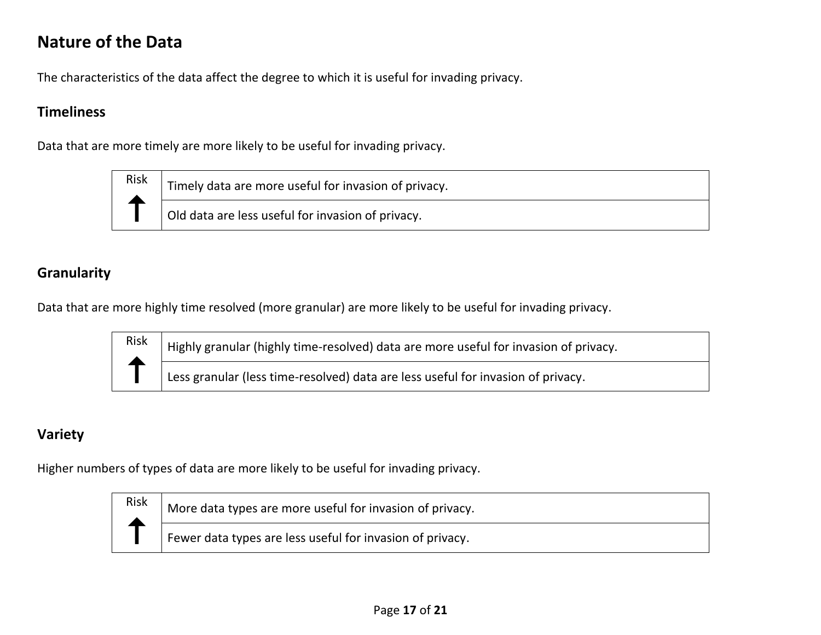### **Nature of the Data**

The characteristics of the data affect the degree to which it is useful for invading privacy.

#### **Timeliness**

Data that are more timely are more likely to be useful for invading privacy.



Risk

 $\uparrow$ 

Timely data are more useful for invasion of privacy.

Old data are less useful for invasion of privacy.

#### **Granularity**

Data that are more highly time resolved (more granular) are more likely to be useful for invading privacy.

Highly granular (highly time-resolved) data are more useful for invasion of privacy.

Less granular (less time-resolved) data are less useful for invasion of privacy.

#### **Variety**

Higher numbers of types of data are more likely to be useful for invading privacy.



More data types are more useful for invasion of privacy.

Fewer data types are less useful for invasion of privacy.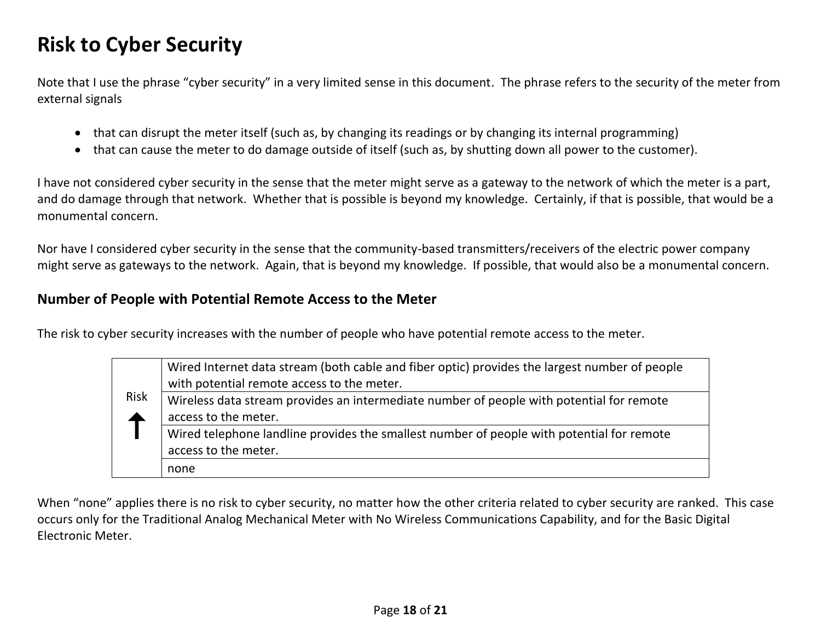### <span id="page-17-0"></span>**Risk to Cyber Security**

Note that I use the phrase "cyber security" in a very limited sense in this document. The phrase refers to the security of the meter from external signals

- that can disrupt the meter itself (such as, by changing its readings or by changing its internal programming)
- that can cause the meter to do damage outside of itself (such as, by shutting down all power to the customer).

I have not considered cyber security in the sense that the meter might serve as a gateway to the network of which the meter is a part, and do damage through that network. Whether that is possible is beyond my knowledge. Certainly, if that is possible, that would be a monumental concern.

Nor have I considered cyber security in the sense that the community-based transmitters/receivers of the electric power company might serve as gateways to the network. Again, that is beyond my knowledge. If possible, that would also be a monumental concern.

#### **Number of People with Potential Remote Access to the Meter**

The risk to cyber security increases with the number of people who have potential remote access to the meter.

| <b>Risk</b> | Wired Internet data stream (both cable and fiber optic) provides the largest number of people<br>with potential remote access to the meter. |
|-------------|---------------------------------------------------------------------------------------------------------------------------------------------|
|             | Wireless data stream provides an intermediate number of people with potential for remote<br>access to the meter.                            |
|             | Wired telephone landline provides the smallest number of people with potential for remote<br>access to the meter.                           |
|             | none                                                                                                                                        |

When "none" applies there is no risk to cyber security, no matter how the other criteria related to cyber security are ranked. This case occurs only for the Traditional Analog Mechanical Meter with No Wireless Communications Capability, and for the Basic Digital Electronic Meter.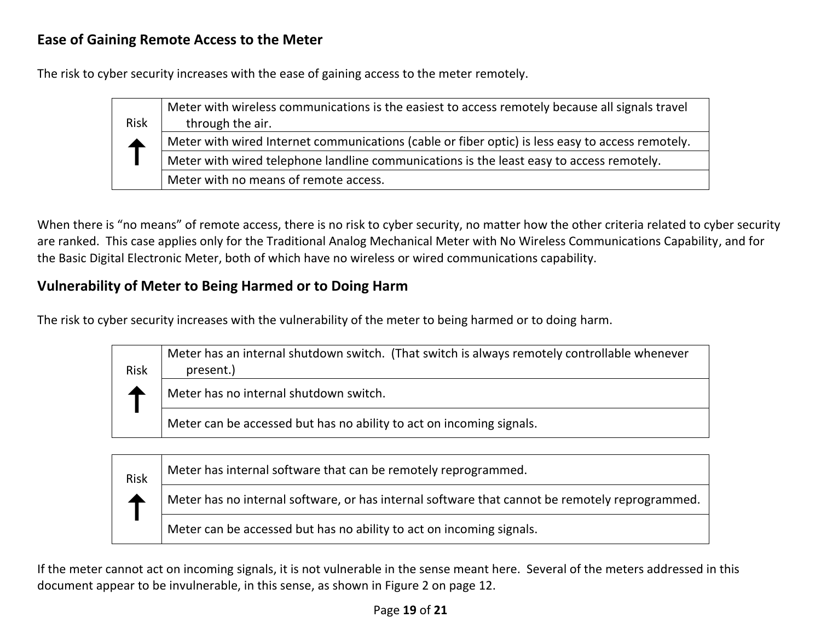#### **Ease of Gaining Remote Access to the Meter**

The risk to cyber security increases with the ease of gaining access to the meter remotely.

Risk  $\uparrow$ Meter with wireless communications is the easiest to access remotely because all signals travel through the air. Meter with wired Internet communications (cable or fiber optic) is less easy to access remotely. Meter with wired telephone landline communications is the least easy to access remotely. Meter with no means of remote access.

When there is "no means" of remote access, there is no risk to cyber security, no matter how the other criteria related to cyber security are ranked. This case applies only for the Traditional Analog Mechanical Meter with No Wireless Communications Capability, and for the Basic Digital Electronic Meter, both of which have no wireless or wired communications capability.

#### **Vulnerability of Meter to Being Harmed or to Doing Harm**

The risk to cyber security increases with the vulnerability of the meter to being harmed or to doing harm.

| <b>Risk</b> | Meter has an internal shutdown switch. (That switch is always remotely controllable whenever<br>present.) |
|-------------|-----------------------------------------------------------------------------------------------------------|
|             | Meter has no internal shutdown switch.                                                                    |
|             | Meter can be accessed but has no ability to act on incoming signals.                                      |
|             |                                                                                                           |

Risk  $\uparrow$ Meter has internal software that can be remotely reprogrammed. Meter has no internal software, or has internal software that cannot be remotely reprogrammed. Meter can be accessed but has no ability to act on incoming signals.

If the meter cannot act on incoming signals, it is not vulnerable in the sense meant here. Several of the meters addressed in this document appear to be invulnerable, in this sense, as shown in [Figure 2](#page-11-0) on page [12.](#page-11-0)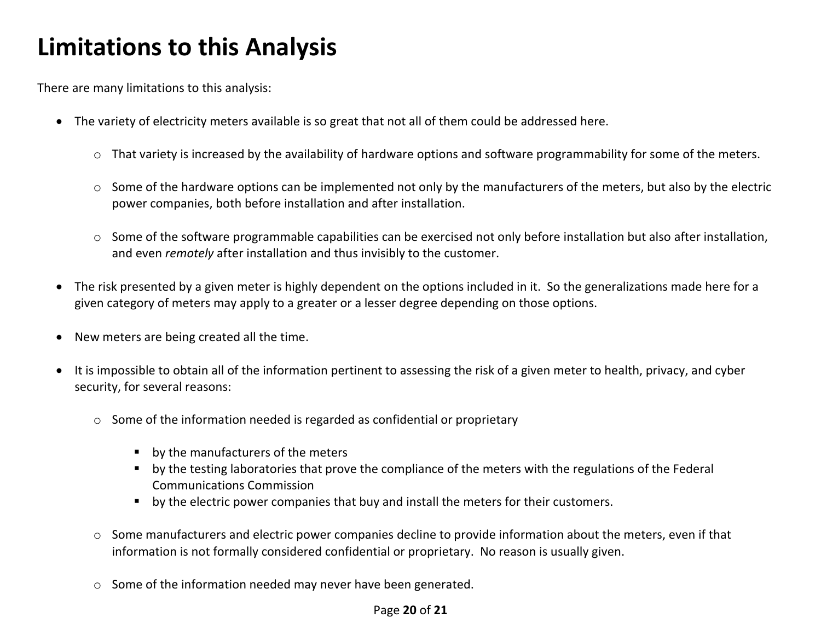# <span id="page-19-0"></span>**Limitations to this Analysis**

There are many limitations to this analysis:

- The variety of electricity meters available is so great that not all of them could be addressed here.
	- o That variety is increased by the availability of hardware options and software programmability for some of the meters.
	- o Some of the hardware options can be implemented not only by the manufacturers of the meters, but also by the electric power companies, both before installation and after installation.
	- o Some of the software programmable capabilities can be exercised not only before installation but also after installation, and even *remotely* after installation and thus invisibly to the customer.
- The risk presented by a given meter is highly dependent on the options included in it. So the generalizations made here for a given category of meters may apply to a greater or a lesser degree depending on those options.
- New meters are being created all the time.
- It is impossible to obtain all of the information pertinent to assessing the risk of a given meter to health, privacy, and cyber security, for several reasons:
	- o Some of the information needed is regarded as confidential or proprietary
		- **•** by the manufacturers of the meters
		- **•** by the testing laboratories that prove the compliance of the meters with the regulations of the Federal Communications Commission
		- by the electric power companies that buy and install the meters for their customers.
	- o Some manufacturers and electric power companies decline to provide information about the meters, even if that information is not formally considered confidential or proprietary. No reason is usually given.
	- o Some of the information needed may never have been generated.

#### Page **20** of **21**